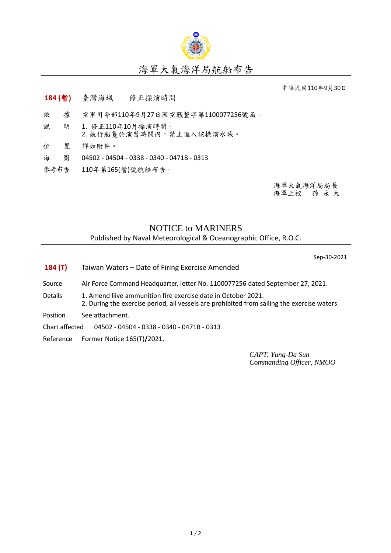

## 海軍大氣海洋局航船布告

中華民國110年9月30日

- **184 (**暫**)** 臺灣海域 修正操演時間
- 依 據 空軍司令部110年9月27日國空戰整字第1100077256號函。
- 說 明 1. 修正110年10月操演時間。 2. 航行船隻於演習時間內,禁止進入該操演水域。
- 位 置 詳如附件。
- 海 圖 04502 04504 0338 0340 0471B 0313
- 參考布告 110年第165(暫)號航船布告。

海軍大氣海洋局局長 海軍上校 孫 永 大

## NOTICE to MARINERS Published by Naval Meteorological & Oceanographic Office, R.O.C.

Sep-30-2021

- **184 (T)** Taiwan Waters Date of Firing Exercise Amended
- Source Air Force Command Headquarter, letter No. 1100077256 dated September 27, 2021.
- Details 1. Amend Ilive ammunition fire exercise date in October 2021. 2. During the exercise period, all vessels are prohibited from sailing the exercise waters.
- Position See attachment.
- Chart affected 04502 04504 0338 0340 0471B 0313
- Reference Former Notice 165(T)**/**2021.

*CAPT. Yung-Da Sun Commanding Officer, NMOO*